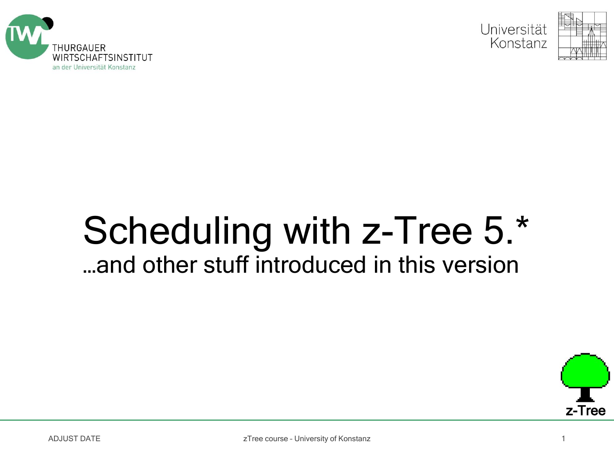



### Scheduling with z-Tree 5.\* …and other stuff introduced in this version



ADJUST DATE **zolution and the course - University of Konstanz** 1 and 2008 and 2008 and 2008 and 2008 and 2008 and 2008 and 2008 and 2008 and 2008 and 2008 and 2008 and 2008 and 2008 and 2008 and 2008 and 2008 and 2008 and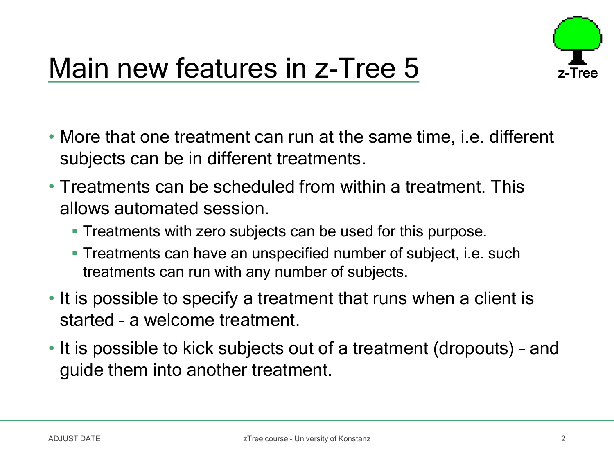

## Main new features in z-Tree 5

- More that one treatment can run at the same time, i.e. different subjects can be in different treatments.
- Treatments can be scheduled from within a treatment. This allows automated session.
	- **Treatments with zero subjects can be used for this purpose.**
	- Treatments can have an unspecified number of subject, i.e. such treatments can run with any number of subjects.
- It is possible to specify a treatment that runs when a client is started – a welcome treatment.
- It is possible to kick subjects out of a treatment (dropouts) and guide them into another treatment.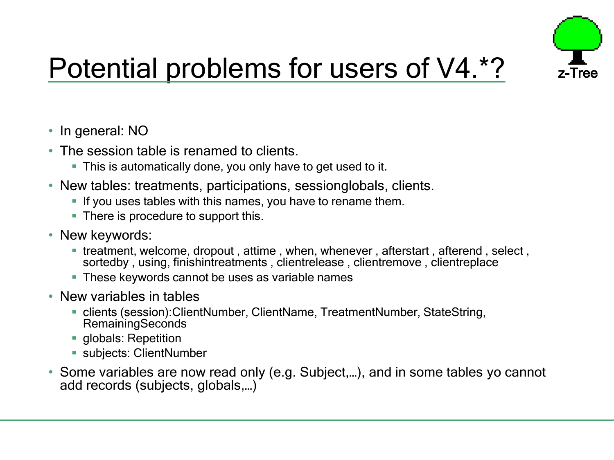

# Potential problems for users of V4.\*?

- In general: NO
- The session table is renamed to clients.
	- **This is automatically done, you only have to get used to it.**
- New tables: treatments, participations, sessionglobals, clients.
	- If you uses tables with this names, you have to rename them.
	- There is procedure to support this.
- New keywords:
	- treatment, welcome, dropout , attime , when, whenever , afterstart , afterend , select , sortedby, using, finishintreatments, clientrelease, clientremove, clientreplace
	- **These keywords cannot be uses as variable names**
- New variables in tables
	- clients (session):ClientNumber, ClientName, TreatmentNumber, StateString, **RemainingSeconds**
	- **globals: Repetition**
	- subjects: ClientNumber
- Some variables are now read only (e.g. Subject,…), and in some tables yo cannot add records (subjects, globals,…)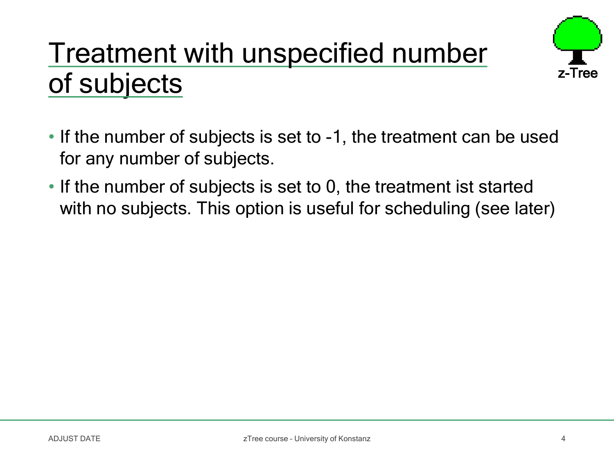## Treatment with unspecified number of subjects



- If the number of subjects is set to -1, the treatment can be used for any number of subjects.
- If the number of subjects is set to 0, the treatment ist started with no subjects. This option is useful for scheduling (see later)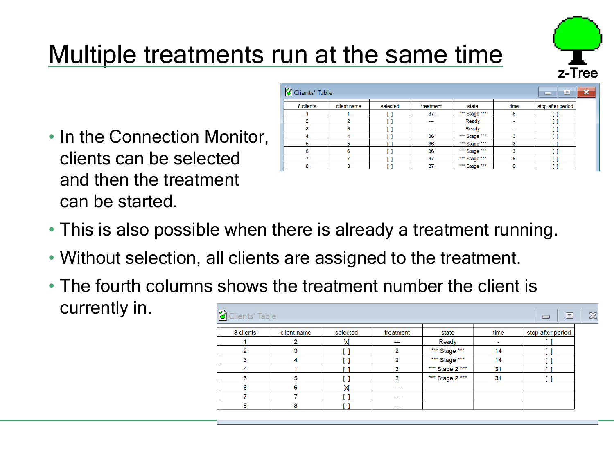

### Multiple treatments run at the same time

• In the Connection Monitor, clients can be selected and then the treatment can be started.

| Clients' Table | $\qquad \qquad \blacksquare$<br>$\equiv$ | $\overline{\mathbf{x}}$ |                          |               |      |                   |  |
|----------------|------------------------------------------|-------------------------|--------------------------|---------------|------|-------------------|--|
| 8 clients      | client name                              | selected                | treatment                | state         | time | stop after period |  |
|                |                                          |                         | 37                       | *** Stage *** | 6    |                   |  |
|                |                                          |                         | $\sim$                   | Ready         | ۰    |                   |  |
|                |                                          |                         | $\overline{\phantom{a}}$ | Ready         | ۰    |                   |  |
|                |                                          |                         | 36                       | *** Stage *** |      |                   |  |
| 5              |                                          |                         | 36                       | *** Stage *** | 3    |                   |  |
| 6              | 6                                        |                         | 36                       | *** Stage *** |      |                   |  |
|                |                                          |                         | 37                       | *** Stage *** | 6    |                   |  |
| 8              | 8                                        |                         | 37                       | *** Stage *** | 6    |                   |  |

- This is also possible when there is already a treatment running.
- Without selection, all clients are assigned to the treatment.
- The fourth columns shows the treatment number the client is currently in.

| 8 clients | client name | selected | treatment                | state           | time | stop after period |
|-----------|-------------|----------|--------------------------|-----------------|------|-------------------|
|           |             | [x]      | $- - -$                  | <b>Ready</b>    |      |                   |
| n         |             |          |                          | *** Stage ***   | 14   |                   |
|           |             |          |                          | *** Stage ***   | 14   |                   |
|           |             |          |                          | *** Stage 2 *** | 31   |                   |
| 5         | 5           |          |                          | *** Stage 2 *** | 31   |                   |
| 6         | 6           | [x]      | $\overline{\phantom{a}}$ |                 |      |                   |
|           |             |          | ---                      |                 |      |                   |
| 8         | 8           |          | $- - -$                  |                 |      |                   |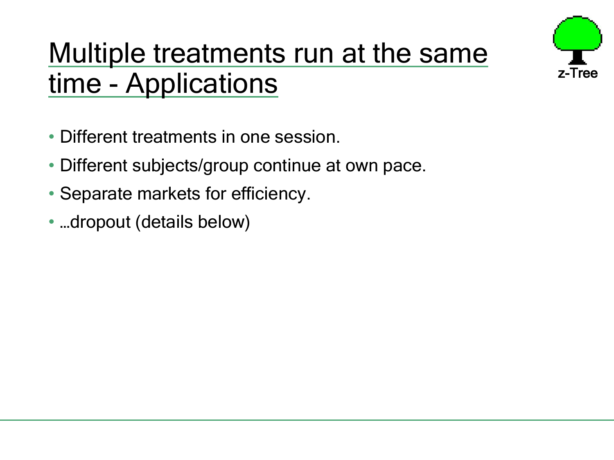

## Multiple treatments run at the same time - Applications

- Different treatments in one session.
- Different subjects/group continue at own pace.
- Separate markets for efficiency.
- …dropout (details below)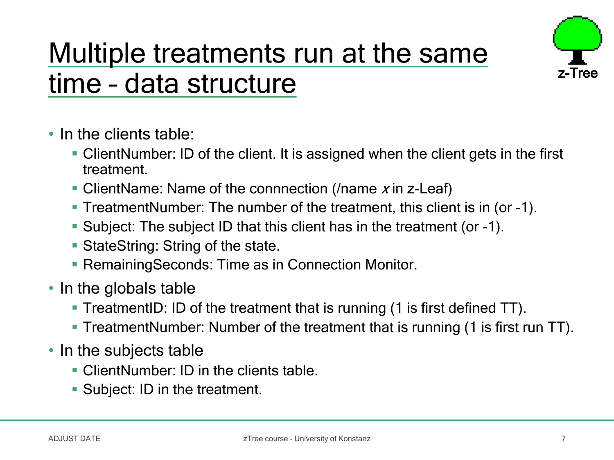### Multiple treatments run at the same time – data structure



- In the clients table:
	- ClientNumber: ID of the client. It is assigned when the client gets in the first treatment.
	- ClientName: Name of the connnection (*Iname x* in z-Leaf)
	- TreatmentNumber: The number of the treatment, this client is in (or -1).
	- Subject: The subject ID that this client has in the treatment (or -1).
	- **StateString: String of the state.**
	- **RemainingSeconds: Time as in Connection Monitor.**
- In the globals table
	- TreatmentID: ID of the treatment that is running (1 is first defined TT).
	- **TreatmentNumber: Number of the treatment that is running (1 is first run TT).**
- In the subjects table
	- ClientNumber: ID in the clients table.
	- **Subject: ID in the treatment.**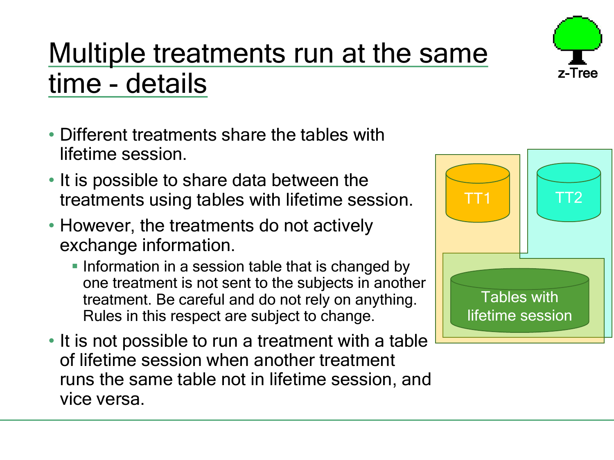

# Multiple treatments run at the same time - details

- Different treatments share the tables with lifetime session.
- It is possible to share data between the treatments using tables with lifetime session.
- However, the treatments do not actively exchange information.
	- **Information in a session table that is changed by** one treatment is not sent to the subjects in another treatment. Be careful and do not rely on anything. Rules in this respect are subject to change.
- It is not possible to run a treatment with a table of lifetime session when another treatment runs the same table not in lifetime session, and vice versa.

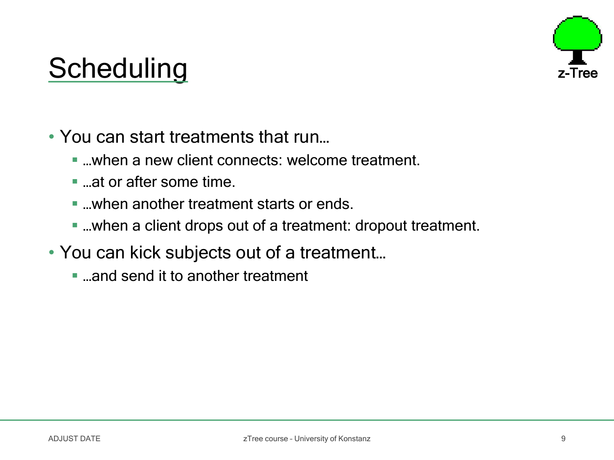

### Scheduling

• You can start treatments that run...

- ...when a new client connects: welcome treatment.
- ...at or after some time.
- when another treatment starts or ends
- …when a client drops out of a treatment: dropout treatment.
- You can kick subjects out of a treatment…
	- ...and send it to another treatment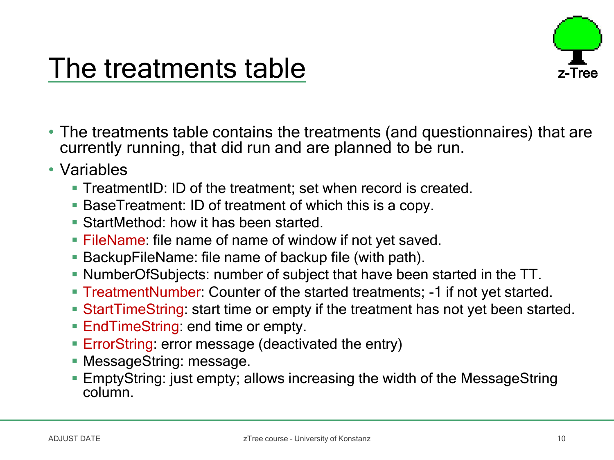

### The treatments table

- The treatments table contains the treatments (and questionnaires) that are currently running, that did run and are planned to be run.
- Variables
	- **TreatmentID: ID of the treatment; set when record is created.**
	- BaseTreatment: ID of treatment of which this is a copy.
	- **StartMethod: how it has been started.**
	- **FileName: file name of name of window if not yet saved.**
	- BackupFileName: file name of backup file (with path).
	- NumberOfSubjects: number of subject that have been started in the TT.
	- TreatmentNumber: Counter of the started treatments; -1 if not yet started.
	- StartTimeString: start time or empty if the treatment has not yet been started.
	- EndTimeString: end time or empty.
	- **ErrorString: error message (deactivated the entry)**
	- **MessageString: message.**
	- EmptyString: just empty; allows increasing the width of the MessageString column.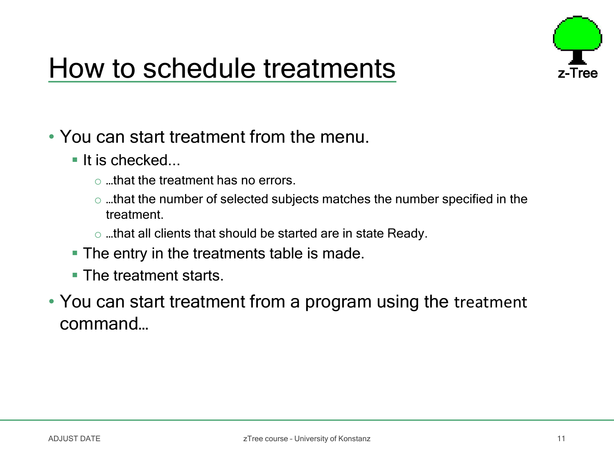

### How to schedule treatments

- You can start treatment from the menu.
	- $\blacksquare$  It is checked...
		- o …that the treatment has no errors.
		- o …that the number of selected subjects matches the number specified in the treatment.
		- o …that all clients that should be started are in state Ready.
	- **The entry in the treatments table is made.**
	- **The treatment starts.**
- You can start treatment from a program using the treatment command…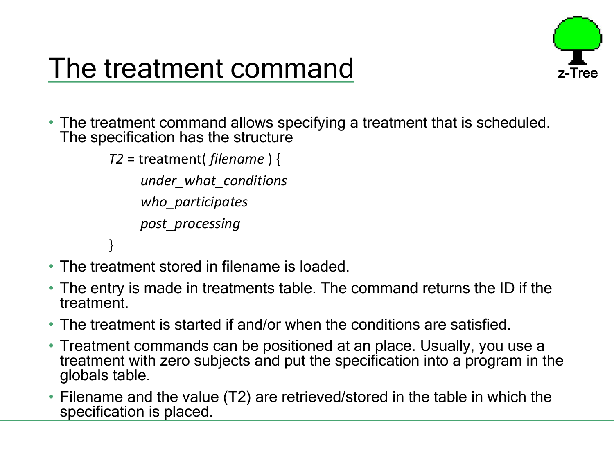

### The treatment command

• The treatment command allows specifying a treatment that is scheduled. The specification has the structure

```
T2 = treatment( filename ) {
    under_what_conditions
    who_participates
    post_processing
}
```
- The treatment stored in filename is loaded.
- The entry is made in treatments table. The command returns the ID if the treatment.
- The treatment is started if and/or when the conditions are satisfied.
- Treatment commands can be positioned at an place. Usually, you use a treatment with zero subjects and put the specification into a program in the globals table.
- Filename and the value (T2) are retrieved/stored in the table in which the specification is placed.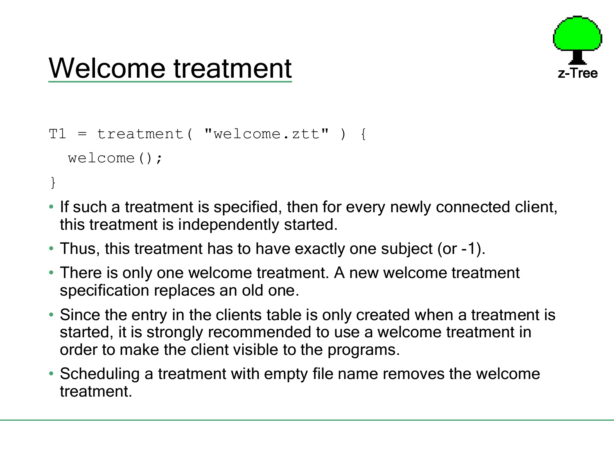### Welcome treatment

```
T1 = \text{treatment} ( \text{ "welcome} . z \text{tt" } )welcome();
}
```
- If such a treatment is specified, then for every newly connected client, this treatment is independently started.
- Thus, this treatment has to have exactly one subject (or -1).
- There is only one welcome treatment. A new welcome treatment specification replaces an old one.
- Since the entry in the clients table is only created when a treatment is started, it is strongly recommended to use a welcome treatment in order to make the client visible to the programs.
- Scheduling a treatment with empty file name removes the welcome treatment.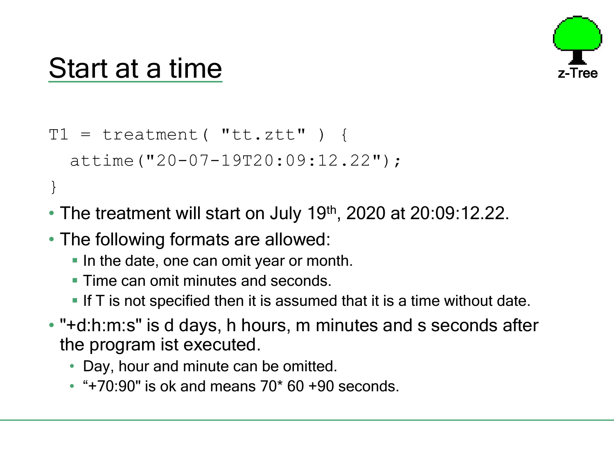

### Start at a time

```
T1 = treatment ("tt.ztt") {
  attime("20-07-19T20:09:12.22");
}
```
- The treatment will start on July 19<sup>th</sup>, 2020 at 20:09:12.22.
- The following formats are allowed:
	- In the date, one can omit year or month.
	- **Time can omit minutes and seconds.**
	- If  $\overline{T}$  is not specified then it is assumed that it is a time without date.
- "+d:h:m:s" is d days, h hours, m minutes and s seconds after the program ist executed.
	- Day, hour and minute can be omitted.
	- $*$  "+70:90" is ok and means 70 $*$  60 +90 seconds.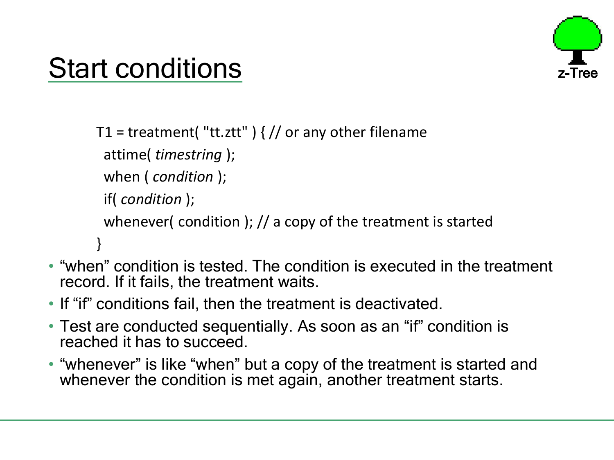

## Start conditions

T1 = treatment( "tt.ztt")  $\frac{1}{2}$  or any other filename attime( *timestring* ); when ( *condition* ); if( *condition* ); whenever( condition ); // a copy of the treatment is started }

- "when" condition is tested. The condition is executed in the treatment record. If it fails, the treatment waits.
- If "if" conditions fail, then the treatment is deactivated.
- Test are conducted sequentially. As soon as an "if" condition is reached it has to succeed.
- "whenever" is like "when" but a copy of the treatment is started and whenever the condition is met again, another treatment starts.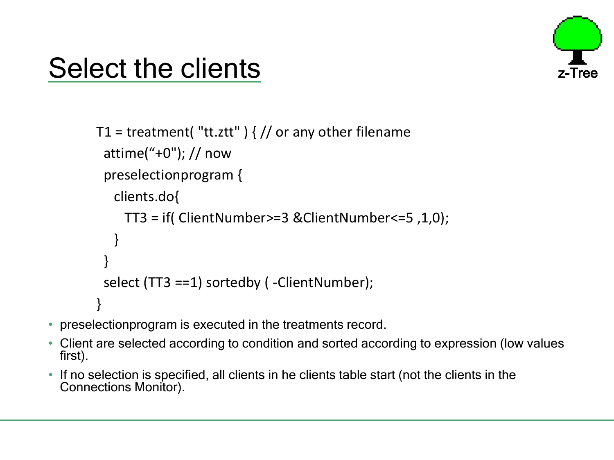

## Select the clients

```
T1 = treatment( "tt.ztt") \frac{1}{2} or any other filename
 attime("+0"); // now
 preselectionprogram { 
   clients.do{
    TT3 = if( ClientNumber>=3 &ClientNumber<=5 ,1,0);
   }
 } 
 select (TT3 ==1) sortedby ( -ClientNumber); 
}
```
- preselectionprogram is executed in the treatments record.
- Client are selected according to condition and sorted according to expression (low values first).
- If no selection is specified, all clients in he clients table start (not the clients in the Connections Monitor).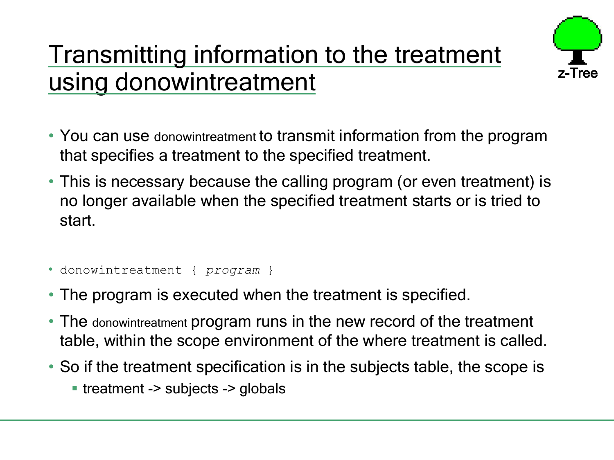### Transmitting information to the treatment using donowintreatment



- You can use donowintreatment to transmit information from the program that specifies a treatment to the specified treatment.
- This is necessary because the calling program (or even treatment) is no longer available when the specified treatment starts or is tried to start.
- donowintreatment { *program* }
- The program is executed when the treatment is specified.
- The donowintreatment program runs in the new record of the treatment table, within the scope environment of the where treatment is called.
- So if the treatment specification is in the subjects table, the scope is
	- **treatment -> subjects -> globals**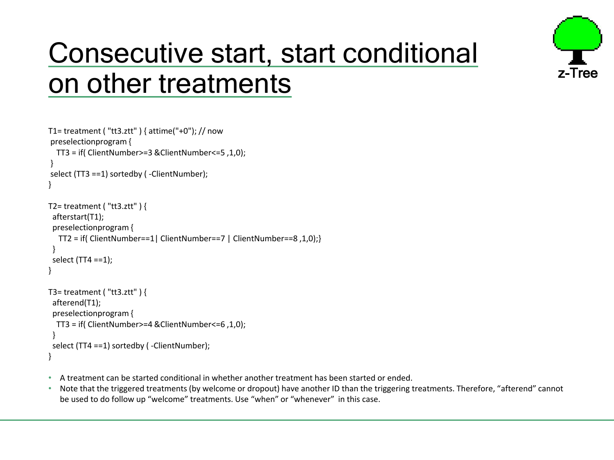# Consecutive start, start conditional on other treatments

z-Tree



- A treatment can be started conditional in whether another treatment has been started or ended.
- Note that the triggered treatments (by welcome or dropout) have another ID than the triggering treatments. Therefore, "afterend" cannot be used to do follow up "welcome" treatments. Use "when" or "whenever" in this case.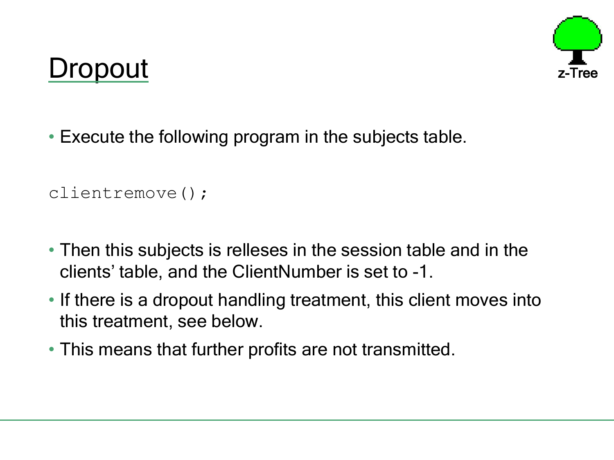### Dropout



• Execute the following program in the subjects table.

```
clientremove();
```
- Then this subjects is relleses in the session table and in the clients' table, and the ClientNumber is set to -1.
- If there is a dropout handling treatment, this client moves into this treatment, see below.
- This means that further profits are not transmitted.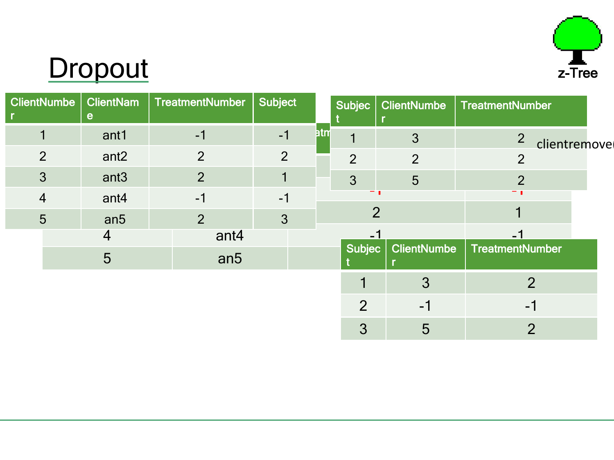

# **Dropout**

| <b>ClientNumbe</b> | <b>ClientNam</b><br>$\mathbf{e}$ | <b>TreatmentNumber</b> | <b>Subject</b> |     | Subjec $ $     | <b>ClientNumbe</b> | <b>TreatmentNumber</b> |  |
|--------------------|----------------------------------|------------------------|----------------|-----|----------------|--------------------|------------------------|--|
|                    | ant1                             | $-1$                   | $-1$           | htm |                | 3                  | 2<br>clientremove      |  |
| $\overline{2}$     | ant <sub>2</sub>                 | 2                      | 2              |     | $\overline{2}$ | $\overline{2}$     | 2                      |  |
| 3                  | ant <sub>3</sub>                 | $\overline{2}$         |                |     | 3              | 5                  | $\overline{2}$         |  |
| $\overline{4}$     | ant4                             | $-1$                   | $-1$           |     |                |                    | т п                    |  |
| 5                  | an <sub>5</sub>                  | 2                      | 3              |     |                | $\overline{2}$     |                        |  |
|                    | 4                                | ant4                   |                |     | - 1            |                    |                        |  |
|                    | 5                                | an <sub>5</sub>        |                |     | Subjec         | <b>ClientNumbe</b> | TreatmentNumber        |  |
|                    |                                  |                        |                |     |                | 3                  | 2                      |  |
|                    |                                  |                        |                |     | $\overline{2}$ | $-1$               | $\blacksquare$         |  |
|                    |                                  |                        |                |     | 3              | 5                  | 2                      |  |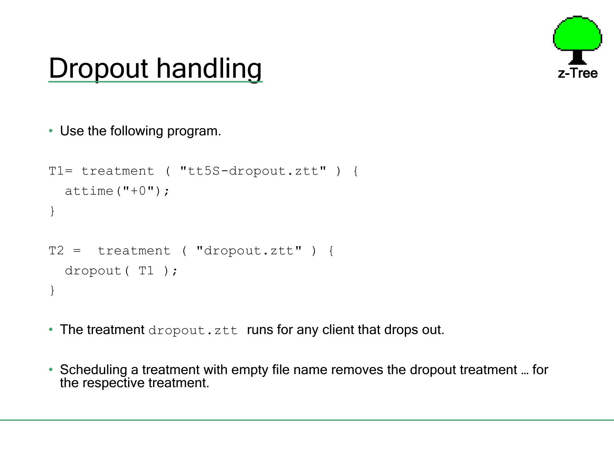

### Dropout handling

```
• Use the following program.
```

```
T1= treatment ( "tt5S-dropout.ztt" ) { 
  attime("+0");
}
T2 = treatment ( "dropout.ztt" ) { 
  dropout( T1 );
}
```
- The treatment dropout.ztt runs for any client that drops out.
- Scheduling a treatment with empty file name removes the dropout treatment … for the respective treatment.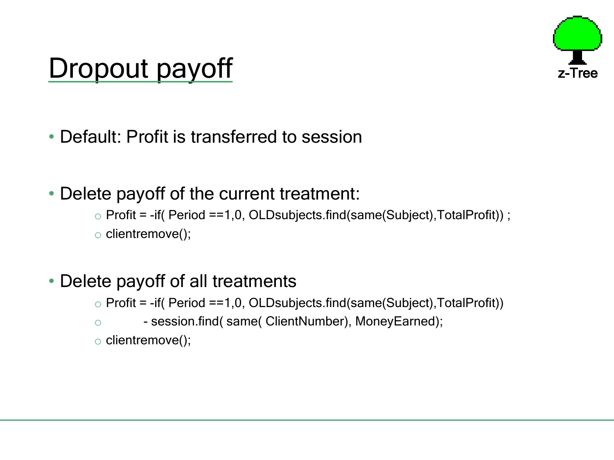### Dropout payoff



• Default: Profit is transferred to session

### • Delete payoff of the current treatment:

 $\circ$  Profit = -if( Period ==1,0, OLDsubjects.find(same(Subject), TotalProfit)) ;

o clientremove();

### • Delete payoff of all treatments

 $\circ$  Profit = -if( Period ==1,0, OLDsubjects.find(same(Subject), TotalProfit))

o **- session.find( same( ClientNumber), MoneyEarned);** 

o clientremove();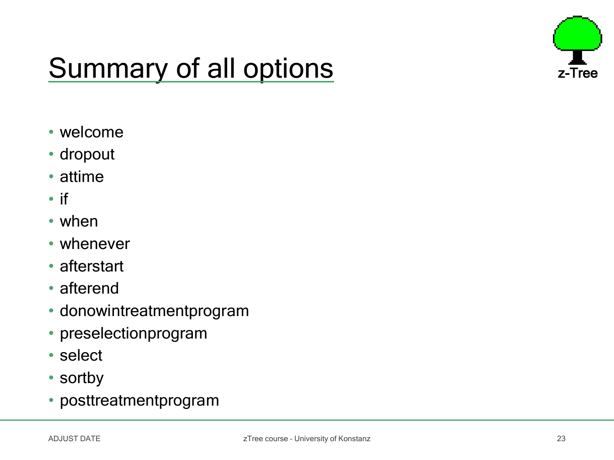

# Summary of all options  $\overline{z}$ -Tree

- welcome
- dropout
- attime
- if
- when
- whenever
- afterstart
- afterend
- donowintreatmentprogram
- preselectionprogram
- select
- sortby
- posttreatmentprogram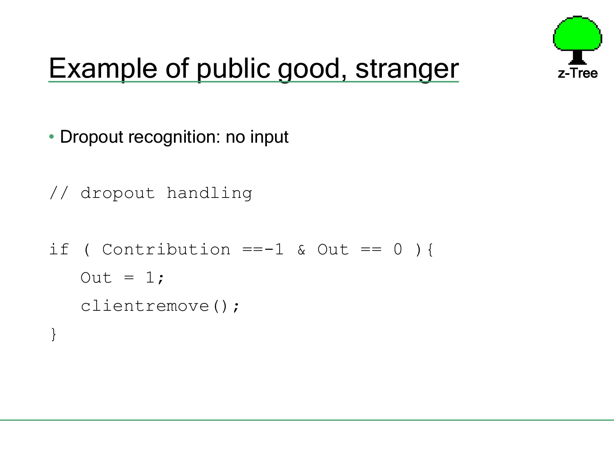

## Example of public good, stranger z-Tree

- Dropout recognition: no input
- // dropout handling

```
if ( Contribution ==-1 & Out == 0 ) {
   Out = 1;clientremove();
}
```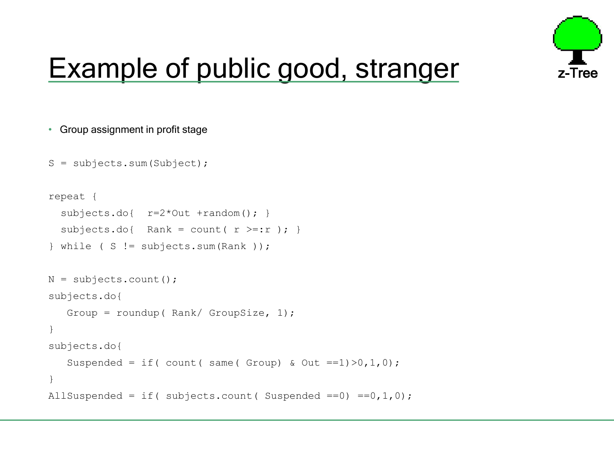

### Example of public good, stranger

```
• Group assignment in profit stage
```

```
S =subjects.sum(Subject);
```

```
repeat {
  subjects.do{ r=2*Out +random(); }
  subjets.do{ Rank = count( r \geq r ); }
\} while ( S != subjects.sum(Rank ));
N = subjects.count();
subjects.do{ 
   Group = roundup( Rank/ GroupSize, 1);
}
subjects.do{ 
   Suspended = if( count( same( Group) & Out ==1) > 0, 1, 0;
}
AllSuspended = if( subjects.count( Suspended ==0) ==0, 1, 0);
```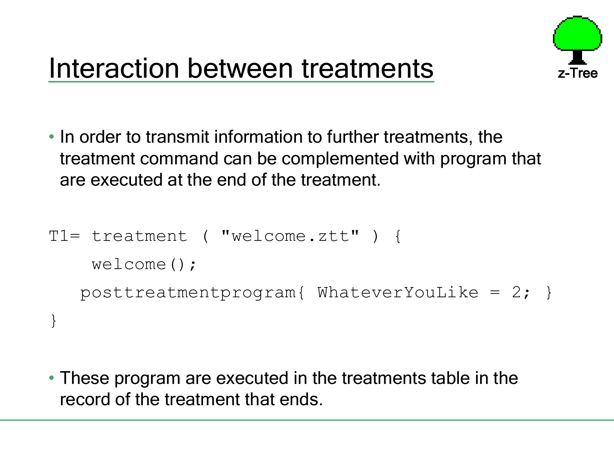

### Interaction between treatments

• In order to transmit information to further treatments, the treatment command can be complemented with program that are executed at the end of the treatment.

```
T1= treatment ( "welcome.ztt" ) { 
    welcome();
   posttreatmentprogram{ WhateverYouLike = 2; }
}
```
• These program are executed in the treatments table in the record of the treatment that ends.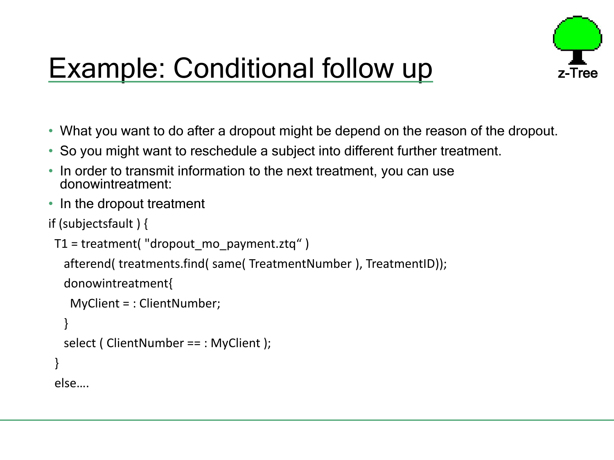

# Example: Conditional follow up

- What you want to do after a dropout might be depend on the reason of the dropout.
- So you might want to reschedule a subject into different further treatment.
- In order to transmit information to the next treatment, you can use donowintreatment:
- In the dropout treatment

```
if (subjectsfault ) {
```

```
T1 = treatment("dropout mo payment.ztq")
```
afterend( treatments.find( same( TreatmentNumber ), TreatmentID));

```
donowintreatment{
```

```
MyClient = : ClientNumber;
```

```
}
 select ( ClientNumber == : MyClient );
}
```
else….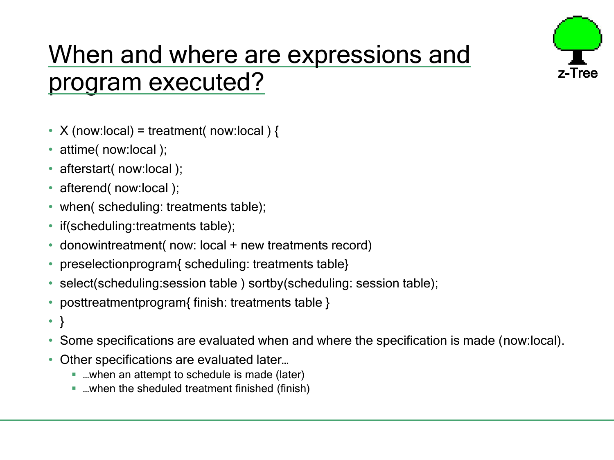

### When and where are expressions and program executed?

- X (now:local) = treatment( now:local ) {
- attime( now: local );
- afterstart( now:local );
- afterend( now:local );
- when( scheduling: treatments table);
- if (scheduling: treatments table);
- donowintreatment(now: local + new treatments record)
- preselectionprogram{ scheduling: treatments table}
- select(scheduling: session table) sortby(scheduling: session table);
- posttreatmentprogram{ finish: treatments table }
- $\bullet$
- Some specifications are evaluated when and where the specification is made (now:local).
- Other specifications are evaluated later...
	- …when an attempt to schedule is made (later)
	- …when the sheduled treatment finished (finish)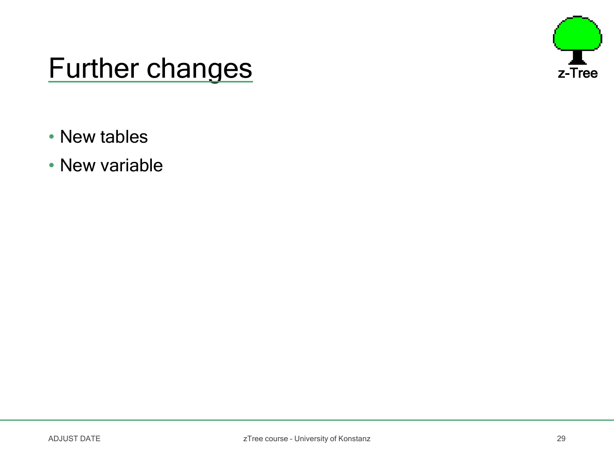

### Further changes **Further changes**

- New tables
- New variable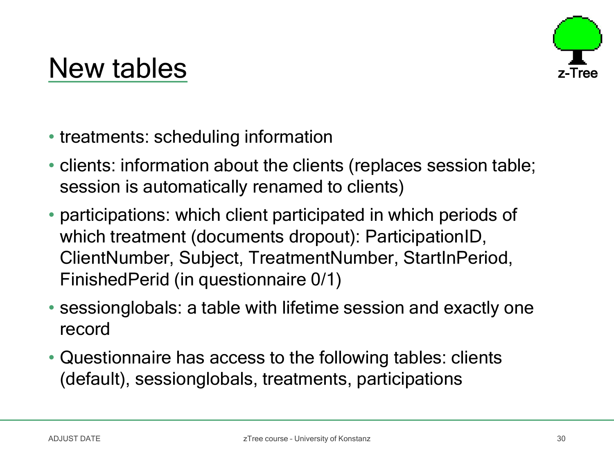### New tables

- treatments: scheduling information
- clients: information about the clients (replaces session table; session is automatically renamed to clients)
- participations: which client participated in which periods of which treatment (documents dropout): ParticipationID, ClientNumber, Subject, TreatmentNumber, StartInPeriod, FinishedPerid (in questionnaire 0/1)
- sessionglobals: a table with lifetime session and exactly one record
- Questionnaire has access to the following tables: clients (default), sessionglobals, treatments, participations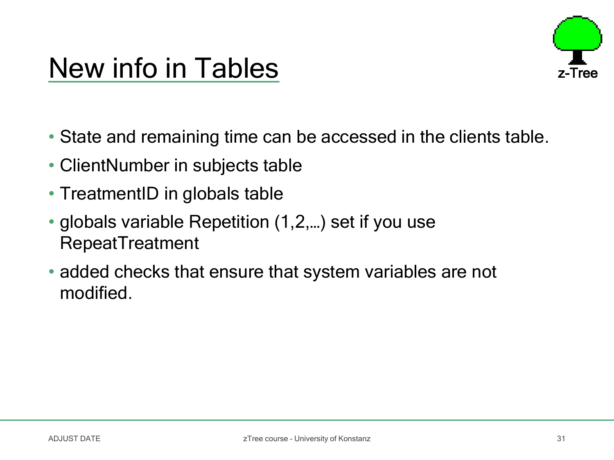

### New info in Tables

- State and remaining time can be accessed in the clients table.
- ClientNumber in subjects table
- TreatmentID in globals table
- globals variable Repetition (1,2,…) set if you use RepeatTreatment
- added checks that ensure that system variables are not modified.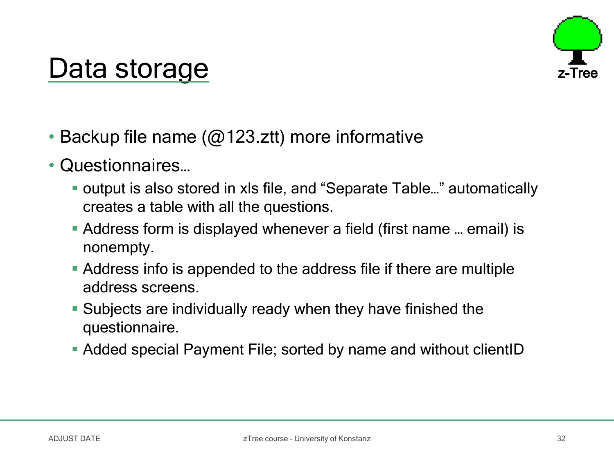### Data storage

- Backup file name ( $@123$ .ztt) more informative
- Questionnaires…
	- output is also stored in xls file, and "Separate Table..." automatically creates a table with all the questions.
	- Address form is displayed whenever a field (first name … email) is nonempty.
	- Address info is appended to the address file if there are multiple address screens.
	- Subjects are individually ready when they have finished the questionnaire.
	- Added special Payment File; sorted by name and without clientID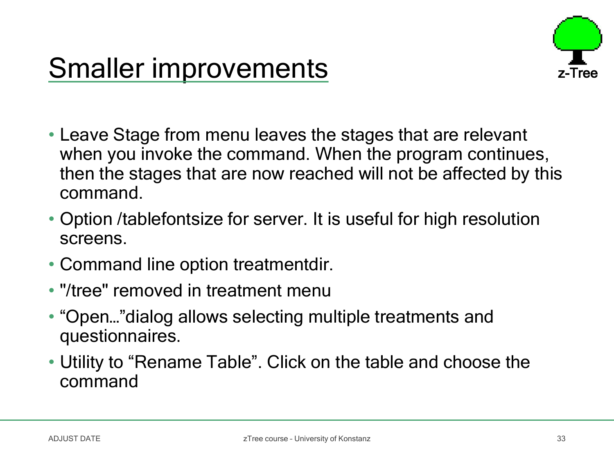

### **Smaller improvements**

- Leave Stage from menu leaves the stages that are relevant when you invoke the command. When the program continues, then the stages that are now reached will not be affected by this command.
- Option /tablefontsize for server. It is useful for high resolution screens.
- Command line option treatmentdir.
- "/tree" removed in treatment menu
- "Open…"dialog allows selecting multiple treatments and questionnaires.
- Utility to "Rename Table". Click on the table and choose the command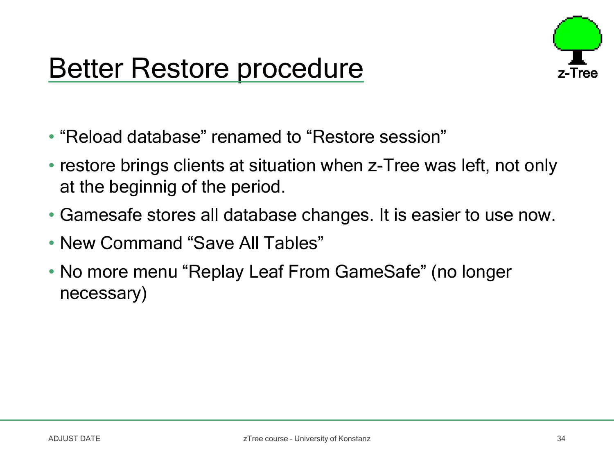### Better Restore procedure



- "Reload database" renamed to "Restore session"
- restore brings clients at situation when z-Tree was left, not only at the beginnig of the period.
- Gamesafe stores all database changes. It is easier to use now.
- New Command "Save All Tables"
- No more menu "Replay Leaf From GameSafe" (no longer necessary)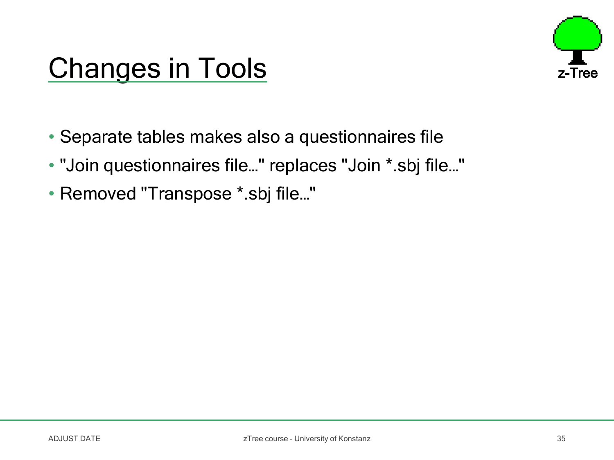

### Changes in Tools **Exercise 2-Tree**

- Separate tables makes also a questionnaires file
- "Join questionnaires file…" replaces "Join \*.sbj file…"
- Removed "Transpose \*.sbj file…"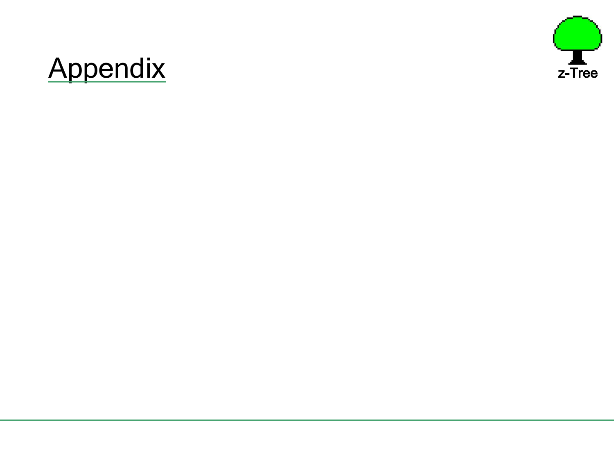

# Appendix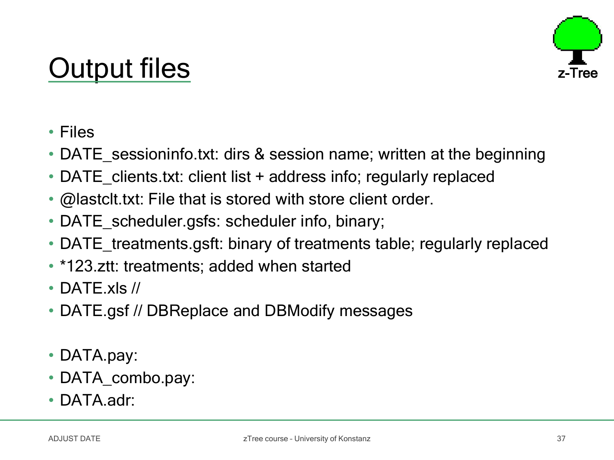## Output files



- Files
- DATE\_sessioninfo.txt: dirs & session name; written at the beginning
- DATE clients.txt: client list + address info; regularly replaced
- @lastclt.txt: File that is stored with store client order.
- DATE\_scheduler.gsfs: scheduler info, binary;
- DATE\_treatments.gsft: binary of treatments table; regularly replaced
- \*123.ztt: treatments; added when started
- DATF xls //
- DATE.gsf // DBReplace and DBModify messages
- DATA.pay:
- DATA\_combo.pay:
- DATA.adr: